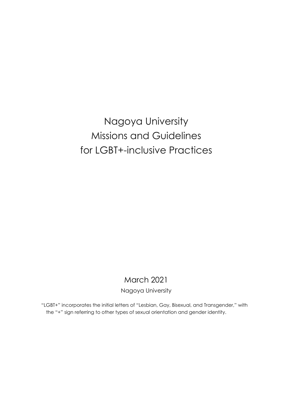Nagoya University Missions and Guidelines for LGBT+-inclusive Practices

# March 2021

Nagoya University

"LGBT+" incorporates the initial letters of "Lesbian, Gay, Bisexual, and Transgender," with the "+" sign referring to other types of sexual orientation and gender identity.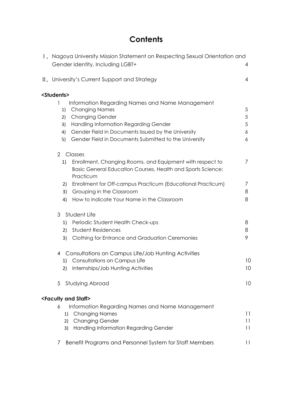# **Contents**

| I. Nagoya University Mission Statement on Respecting Sexual Orientation and |            |  |  |  |  |
|-----------------------------------------------------------------------------|------------|--|--|--|--|
| Gender Identity, Including LGBT+                                            | 4          |  |  |  |  |
|                                                                             |            |  |  |  |  |
| II. University's Current Support and Strategy                               | 4          |  |  |  |  |
| <students></students>                                                       |            |  |  |  |  |
| Information Regarding Names and Name Management<br>1                        |            |  |  |  |  |
| <b>Changing Names</b><br>1)                                                 | 5          |  |  |  |  |
| <b>Changing Gender</b><br>2)                                                | $\sqrt{5}$ |  |  |  |  |
| Handling Information Regarding Gender<br>3)                                 | 5          |  |  |  |  |
| Gender Field in Documents Issued by the University<br>4)                    | 6          |  |  |  |  |
| Gender Field in Documents Submitted to the University<br>5)                 | 6          |  |  |  |  |
| $\overline{2}$<br>Classes                                                   |            |  |  |  |  |
| Enrollment, Changing Rooms, and Equipment with respect to<br>1)             | 7          |  |  |  |  |
| Basic General Education Courses, Health and Sports Science:                 |            |  |  |  |  |
| Practicum                                                                   |            |  |  |  |  |
| Enrollment for Off-campus Practicum (Educational Practicum)<br>2)           | 7          |  |  |  |  |
| Grouping in the Classroom<br>3)                                             | 8          |  |  |  |  |
| How to Indicate Your Name in the Classroom<br>4)                            | 8          |  |  |  |  |
| 3<br>Student Life                                                           |            |  |  |  |  |
| Periodic Student Health Check-ups<br>1)                                     | 8          |  |  |  |  |
| <b>Student Residences</b><br>2)                                             | 8          |  |  |  |  |
| Clothing for Entrance and Graduation Ceremonies<br>3)                       | 9          |  |  |  |  |
| Consultations on Campus Life/Job Hunting Activities<br>4                    |            |  |  |  |  |
| Consultations on Campus Life<br>1)                                          | 10         |  |  |  |  |
| Internships/Job Hunting Activities<br>2)                                    | 10         |  |  |  |  |
|                                                                             |            |  |  |  |  |
| Studying Abroad<br>5                                                        | 10         |  |  |  |  |
| <faculty and="" staff=""></faculty>                                         |            |  |  |  |  |
| 6<br>Information Regarding Names and Name Management                        |            |  |  |  |  |
| <b>Changing Names</b><br>1)                                                 | 11         |  |  |  |  |
| <b>Changing Gender</b><br>2)                                                | 11         |  |  |  |  |
| <b>Handling Information Regarding Gender</b><br>3)                          | 11         |  |  |  |  |
| Benefit Programs and Personnel System for Staff Members<br>7                | 11         |  |  |  |  |
|                                                                             |            |  |  |  |  |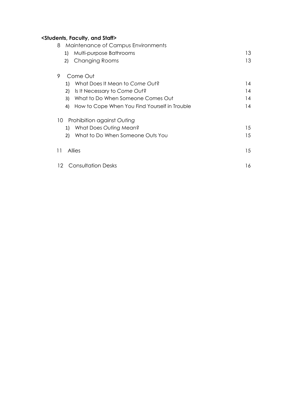# **<Students, Faculty, and Staff>**

| Maintenance of Campus Environments<br>8             |     |  |  |  |
|-----------------------------------------------------|-----|--|--|--|
| Multi-purpose Bathrooms<br>1)                       | 13. |  |  |  |
| <b>Changing Rooms</b><br>2)                         | 13  |  |  |  |
| 9<br>Come Out                                       |     |  |  |  |
| What Does It Mean to Come Out?<br>1)                | 14  |  |  |  |
| Is It Necessary to Come Out?<br>2)                  | 14  |  |  |  |
| What to Do When Someone Comes Out<br>3)             | 14  |  |  |  |
| How to Cope When You Find Yourself in Trouble<br>4) | 14  |  |  |  |
| Prohibition against Outing<br>10 <sup>°</sup>       |     |  |  |  |
| What Does Outing Mean?<br>1)                        | 15  |  |  |  |
| What to Do When Someone Outs You<br>2)              | 15  |  |  |  |
| Allies<br>11                                        | 15  |  |  |  |
| <b>Consultation Desks</b><br>12.                    | 16  |  |  |  |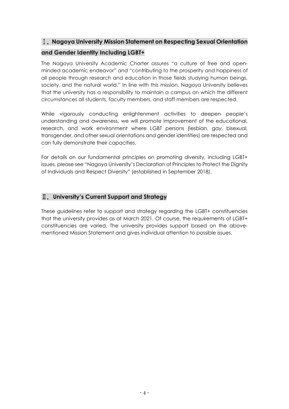# Ⅰ.**Nagoya University Mission Statement on Respecting Sexual Orientation**

# **and Gender Identity Including LGBT+**

The Nagoya University Academic Charter assures "a culture of free and openminded academic endeavor" and "contributing to the prosperity and happiness of all people through research and education in those fields studying human beings, society, and the natural world." In line with this mission, Nagoya University believes that the university has a responsibility to maintain a campus on which the different circumstances all students, faculty members, and staff members are respected.

While vigorously conducting enlightenment activities to deepen people's understanding and awareness, we will promote improvement of the educational, research, and work environment where LGBT persons (lesbian, gay, bisexual, transgender, and other sexual orientations and gender identities) are respected and can fully demonstrate their capacities.

For details on our fundamental principles on promoting diversity, including LGBT+ issues, please see "Nagoya University's Declaration of Principles to Protect the Dignity of Individuals and Respect Diversity" (established in September 2018).

# Ⅱ.**University's Current Support and Strategy**

These guidelines refer to support and strategy regarding the LGBT+ constituencies that the university provides as at March 2021. Of course, the requirements of LGBT+ constituencies are varied. The university provides support based on the abovementioned Mission Statement and gives individual attention to possible issues.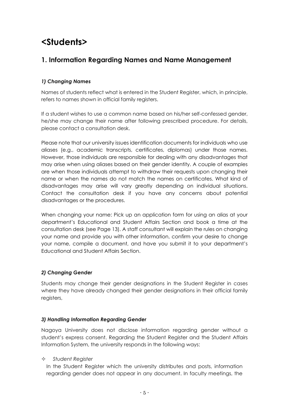# **<Students>**

# **1. Information Regarding Names and Name Management**

# *1) Changing Names*

Names of students reflect what is entered in the Student Register, which, in principle, refers to names shown in official family registers.

If a student wishes to use a common name based on his/her self-confessed gender, he/she may change their name after following prescribed procedure. For details, please contact a consultation desk.

Please note that our university issues identification documents for individuals who use aliases (e.g., academic transcripts, certificates, diplomas) under those names. However, those individuals are responsible for dealing with any disadvantages that may arise when using aliases based on their gender identity. A couple of examples are when those individuals attempt to withdraw their requests upon changing their name or when the names do not match the names on certificates. What kind of disadvantages may arise will vary greatly depending on individual situations. Contact the consultation desk if you have any concerns about potential disadvantages or the procedures.

When changing your name: Pick up an application form for using an alias at your department's Educational and Student Affairs Section and book a time at the consultation desk (see Page 13). A staff consultant will explain the rules on changing your name and provide you with other information, confirm your desire to change your name, compile a document, and have you submit it to your department's Educational and Student Affairs Section.

# *2) Changing Gender*

Students may change their gender designations in the Student Register in cases where they have already changed their gender designations in their official family registers,

# *3) Handling Information Regarding Gender*

Nagoya University does not disclose information regarding gender without a student's express consent. Regarding the Student Register and the Student Affairs Information System, the university responds in the following ways:

### *Student Register*

In the Student Register which the university distributes and posts, information regarding gender does not appear in any document. In faculty meetings, the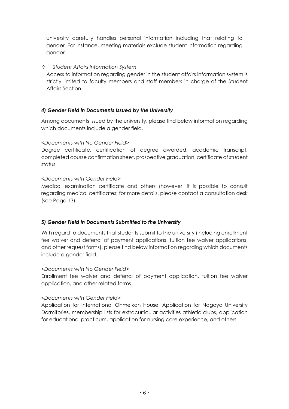university carefully handles personal information including that relating to gender. For instance, meeting materials exclude student information regarding gender.

#### *Student Affairs Information System*

Access to information regarding gender in the student affairs information system is strictly limited to faculty members and staff members in charge of the Student Affairs Section.

### *4) Gender Field in Documents Issued by the University*

Among documents issued by the university, please find below information regarding which documents include a gender field.

#### *<Documents with No Gender Field>*

Degree certificate, certification of degree awarded, academic transcript, completed course confirmation sheet, prospective graduation, certificate of student status

#### *<Documents with Gender Field>*

Medical examination certificate and others (however, it is possible to consult regarding medical certificates; for more details, please contact a consultation desk (see Page 13).

### *5) Gender Field in Documents Submitted to the University*

With regard to documents that students submit to the university (including enrollment fee waiver and deferral of payment applications, tuition fee waiver applications, and other request forms), please find below information regarding which documents include a gender field.

#### *<Documents with No Gender Field>*

Enrollment fee waiver and deferral of payment application, tuition fee waiver application, and other related forms

### *<Documents with Gender Field>*

Application for International Ohmeikan House, Application for Nagoya University Dormitories, membership lists for extracurricular activities athletic clubs, application for educational practicum, application for nursing care experience, and others.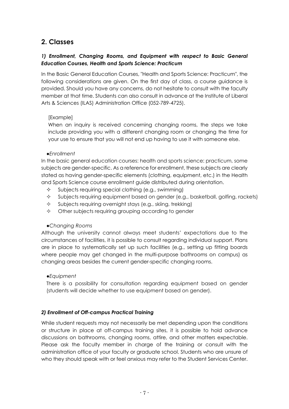# **2. Classes**

## *1) Enrollment, Changing Rooms, and Equipment with respect to Basic General Education Courses, Health and Sports Science: Practicum*

In the Basic General Education Courses, "Health and Sports Science: Practicum", the following considerations are given. On the first day of class, a course guidance is provided. Should you have any concerns, do not hesitate to consult with the faculty member at that time. Students can also consult in advance at the Institute of Liberal Arts & Sciences (ILAS) Administration Office (052-789-4725).

#### [Example]

When an inquiry is received concerning changing rooms, the steps we take include providing you with a different changing room or changing the time for your use to ensure that you will not end up having to use it with someone else.

#### *●Enrollment*

In the basic general education courses: health and sports science: practicum, some subjects are gender-specific. As a reference for enrollment, these subjects are clearly stated as having gender-specific elements (clothing, equipment, etc.) in the Health and Sports Science course enrollment guide distributed during orientation.

- $\Diamond$  Subjects requiring special clothing (e.g., swimming)
- $\Diamond$  Subjects requiring equipment based on gender (e.g., basketball, golfing, rackets)
- $\Diamond$  Subjects requiring overnight stays (e.g., skiing, trekking)
- $\Diamond$  Other subjects requiring grouping according to gender

#### *●Changing Rooms*

Although the university cannot always meet students' expectations due to the circumstances of facilities, it is possible to consult regarding individual support. Plans are in place to systematically set up such facilities (e.g., setting up fitting boards where people may get changed in the multi-purpose bathrooms on campus) as changing areas besides the current gender-specific changing rooms.

#### *●Equipment*

There is a possibility for consultation regarding equipment based on gender (students will decide whether to use equipment based on gender).

### *2) Enrollment of Off-campus Practical Training*

While student requests may not necessarily be met depending upon the conditions or structure in place at off-campus training sites, it is possible to hold advance discussions on bathrooms, changing rooms, attire, and other matters expectable. Please ask the faculty member in charge of the training or consult with the administration office of your faculty or graduate school. Students who are unsure of who they should speak with or feel anxious may refer to the Student Services Center.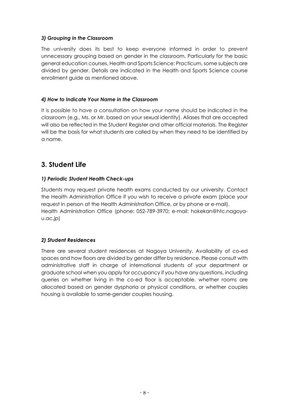### *3) Grouping in the Classroom*

The university does its best to keep everyone informed in order to prevent unnecessary grouping based on gender in the classroom. Particularly for the basic general education courses, Health and Sports Science: Practicum, some subjects are divided by gender. Details are indicated in the Health and Sports Science course enrollment guide as mentioned above.

#### *4) How to Indicate Your Name in the Classroom*

It is possible to have a consultation on how your name should be indicated in the classroom (e.g., Ms. or Mr. based on your sexual identity). Aliases that are accepted will also be reflected in the Student Register and other official materials. The Register will be the basis for what students are called by when they need to be identified by a name.

# **3. Student Life**

#### *1) Periodic Student Health Check-ups*

Students may request private health exams conducted by our university. Contact the Health Administration Office if you wish to receive a private exam (place your request in person at the Health Administration Office, or by phone or e-mail). Health Administration Office (phone: 052-789-3970; e-mail: hokekan@htc.nagoyau.ac.jp)

### *2) Student Residences*

There are several student residences at Nagoya University. Availability of co-ed spaces and how floors are divided by gender differ by residence. Please consult with administrative staff in charge of international students of your department or graduate school when you apply for occupancy if you have any questions, including queries on whether living in the co-ed floor is acceptable, whether rooms are allocated based on gender dysphoria or physical conditions, or whether couples housing is available to same-gender couples housing.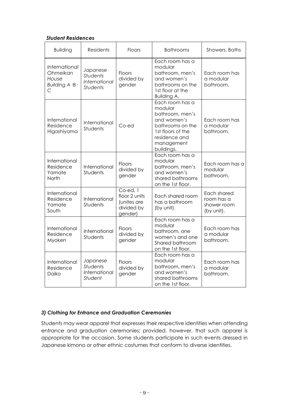#### *Student Residences*

| <b>Building</b>                                            | <b>Residents</b>                                                | <b>Floors</b>                                                     | <b>Bathrooms</b>                                                                                                                                   | Showers, Baths                                         |
|------------------------------------------------------------|-----------------------------------------------------------------|-------------------------------------------------------------------|----------------------------------------------------------------------------------------------------------------------------------------------------|--------------------------------------------------------|
| International<br>Ohmeikan<br>House<br>Building A .B .<br>C | Japanese<br><b>Students</b><br>International<br><b>Students</b> | <b>Floors</b><br>divided by<br>gender                             | Each room has a<br>modular<br>bathroom, men's<br>and women's<br>bathrooms on the<br>1st floor at the<br><b>Building A.</b>                         | Each room has<br>a modular<br>bathroom.                |
| International<br>Residence<br>Higashiyama                  | International<br>Students                                       | Co-ed                                                             | Each room has a<br>modular<br>bathroom, men's<br>and women's<br>bathrooms on the<br>1st floors of the<br>residence and<br>management<br>buildings. | Each room has<br>a modular<br>bathroom.                |
| International<br>Residence<br>Yamate<br>North              | International<br>Students                                       | Floors<br>divided by<br>gender                                    | Each room has a<br>modular<br>bathroom, men's<br>and women's<br>shared bathrooms<br>on the 1st floor.                                              | Each room has a<br>modular<br>bathroom.                |
| International<br>Residence<br>Yamate<br>South              | International<br>Students                                       | Co-ed, 1<br>floor 2 units<br>(unites are<br>divided by<br>gender) | Each shared room<br>has a bathroom<br>(by unit).                                                                                                   | Each shared<br>room has a<br>shower room<br>(by unit). |
| International<br>Residence<br>Myoken                       | International<br>Students                                       | <b>Floors</b><br>divided by<br>gender                             | Each room has a<br>modular<br>bathroom, one<br>women's and one<br>Shared bathroom<br>on the 1st floor.                                             | Each room has<br>a modular<br>bathroom.                |
| International<br>Residence<br>Daiko                        | Japanese<br><b>Students</b><br>International<br>Student         | <b>Floors</b><br>divided by<br>gender                             | Each room has a<br>modular<br>bathroom, men's<br>and women's<br>shared bathrooms<br>on the 1st floor.                                              | Each room has<br>a modular<br>bathroom.                |

### *3) Clothing for Entrance and Graduation Ceremonies*

Students may wear apparel that expresses their respective identities when attending entrance and graduation ceremonies; provided, however, that such apparel is appropriate for the occasion. Some students participate in such events dressed in Japanese kimono or other ethnic costumes that conform to diverse identities.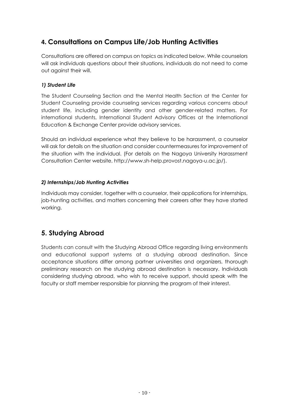# **4. Consultations on Campus Life/Job Hunting Activities**

Consultations are offered on campus on topics as indicated below. While counselors will ask individuals questions about their situations, individuals do not need to come out against their will.

# *1) Student Life*

The Student Counseling Section and the Mental Health Section at the Center for Student Counseling provide counseling services regarding various concerns about student life, including gender identity and other gender-related matters. For international students, International Student Advisory Offices at the International Education & Exchange Center provide advisory services.

Should an individual experience what they believe to be harassment, a counselor will ask for details on the situation and consider countermeasures for improvement of the situation with the individual. (For details on the Nagoya University Harassment Consultation Center website, http://www.sh-help.provost.nagoya-u.ac.jp/).

# *2) Internships/Job Hunting Activities*

Individuals may consider, together with a counselor, their applications for internships, job-hunting activities, and matters concerning their careers after they have started working.

# **5. Studying Abroad**

Students can consult with the Studying Abroad Office regarding living environments and educational support systems at a studying abroad destination. Since acceptance situations differ among partner universities and organizers, thorough preliminary research on the studying abroad destination is necessary. Individuals considering studying abroad, who wish to receive support, should speak with the faculty or staff member responsible for planning the program of their interest.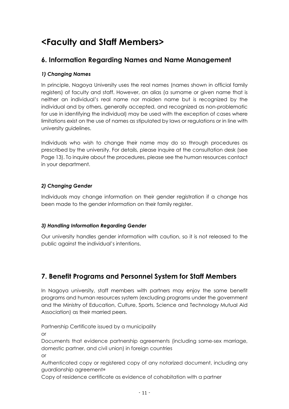# **<Faculty and Staff Members>**

# **6. Information Regarding Names and Name Management**

## *1) Changing Names*

In principle, Nagoya University uses the real names (names shown in official family registers) of faculty and staff. However, an alias (a surname or given name that is neither an individual's real name nor maiden name but is recognized by the individual and by others, generally accepted, and recognized as non-problematic for use in identifying the individual) may be used with the exception of cases where limitations exist on the use of names as stipulated by laws or regulations or in line with university guidelines.

Individuals who wish to change their name may do so through procedures as prescribed by the university. For details, please inquire at the consultation desk (see Page 13). To inquire about the procedures, please see the human resources contact in your department.

## *2) Changing Gender*

Individuals may change information on their gender registration if a change has been made to the gender information on their family register.

### *3) Handling Information Regarding Gender*

Our university handles gender information with caution, so it is not released to the public against the individual's intentions.

# **7. Benefit Programs and Personnel System for Staff Members**

In Nagoya university, staff members with partners may enjoy the same benefit programs and human resources system (excluding programs under the government and the Ministry of Education, Culture, Sports, Science and Technology Mutual Aid Association) as their married peers.

Partnership Certificate issued by a municipality

or

Documents that evidence partnership agreements (including same-sex marriage, domestic partner, and civil union) in foreign countries

or

Authenticated copy or registered copy of any notarized document, including any guardianship agreement\*

Copy of residence certificate as evidence of cohabitation with a partner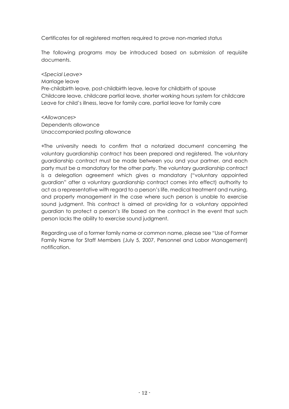Certificates for all registered matters required to prove non-married status

The following programs may be introduced based on submission of requisite documents.

*<Special Leave>* 

Marriage leave

Pre-childbirth leave, post-childbirth leave, leave for childbirth of spouse Childcare leave, childcare partial leave, shorter working hours system for childcare Leave for child's illness, leave for family care, partial leave for family care

*<Allowances>*  Dependents allowance Unaccompanied posting allowance

\*The university needs to confirm that a notarized document concerning the voluntary guardianship contract has been prepared and registered. The voluntary guardianship contract must be made between you and your partner, and each party must be a mandatary for the other party. The voluntary guardianship contract is a delegation agreement which gives a mandatary ("voluntary appointed guardian" after a voluntary guardianship contract comes into effect) authority to act as a representative with regard to a person's life, medical treatment and nursing, and property management in the case where such person is unable to exercise sound judgment. This contract is aimed at providing for a voluntary appointed guardian to protect a person's life based on the contract in the event that such person lacks the ability to exercise sound judgment.

Regarding use of a former family name or common name, please see "Use of Former Family Name for Staff Members (July 5, 2007, Personnel and Labor Management) notification.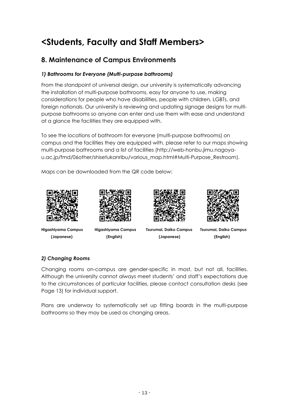# **<Students, Faculty and Staff Members>**

# **8. Maintenance of Campus Environments**

# *1) Bathrooms for Everyone (Multi-purpose bathrooms)*

From the standpoint of universal design, our university is systematically advancing the installation of multi-purpose bathrooms, easy for anyone to use, making considerations for people who have disabilities, people with children, LGBTs, and foreign nationals. Our university is reviewing and updating signage designs for multipurpose bathrooms so anyone can enter and use them with ease and understand at a glance the facilities they are equipped with.

To see the locations of bathroom for everyone (multi-purpose bathrooms) on campus and the facilities they are equipped with, please refer to our maps showing multi-purpose bathrooms and a list of facilities (http://web-honbu.jimu.nagoyau.ac.jp/fmd/06other/shisetukanribu/various\_map.html#Multi-Purpose\_Restroo*m*).

Maps can be downloaded from the QR code below:









 **(Japanese) (English) (Japanese) (English)** 

**Higashiyama Campus Higashiyama Campus Tsurumai, Daiko Campus Tsurumai, Daiko Campus** 

# *2) Changing Rooms*

Changing rooms on-campus are gender-specific in most, but not all, facilities. Although the university cannot always meet students' and staff's expectations due to the circumstances of particular facilities, please contact consultation desks (see Page 13) for individual support.

Plans are underway to systematically set up fitting boards in the multi-purpose bathrooms so they may be used as changing areas.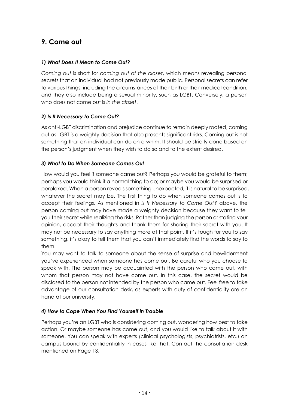# **9. Come out**

## *1) What Does It Mean to Come Out?*

*Coming out* is short for *coming out of the closet*, which means revealing personal secrets that an individual had not previously made public. Personal secrets can refer to various things, including the circumstances of their birth or their medical condition, and they also include being a sexual minority, such as LGBT. Conversely, a person who does not come out is *in the closet*.

## *2) Is It Necessary to Come Out?*

As anti-LGBT discrimination and prejudice continue to remain deeply rooted, coming out as LGBT is a weighty decision that also presents significant risks. Coming out is not something that an individual can do on a whim. It should be strictly done based on the person's judgment when they wish to do so and to the extent desired.

## *3) What to Do When Someone Comes Out*

How would you feel if someone came out? Perhaps you would be grateful to them; perhaps you would think it a normal thing to do; or maybe you would be surprised or perplexed. When a person reveals something unexpected, it is natural to be surprised, whatever the secret may be. The first thing to do when someone comes out is to accept their feelings. As mentioned in *Is It Necessary to Come Out?* above, the person coming out may have made a weighty decision because they want to tell you their secret while realizing the risks. Rather than judging the person or stating your opinion, accept their thoughts and thank them for sharing their secret with you. It may not be necessary to say anything more at that point. If it's tough for you to say something, it's okay to tell them that you can't immediately find the words to say to them.

You may want to talk to someone about the sense of surprise and bewilderment you've experienced when someone has come out. Be careful who you choose to speak with. The person may be acquainted with the person who came out, with whom that person may not have come out. In this case, the secret would be disclosed to the person not intended by the person who came out. Feel free to take advantage of our consultation desk, as experts with duty of confidentiality are on hand at our university.

### *4) How to Cope When You Find Yourself in Trouble*

Perhaps you're an LGBT who is considering coming out, wondering how best to take action. Or maybe someone has come out, and you would like to talk about it with someone. You can speak with experts (clinical psychologists, psychiatrists, etc.) on campus bound by confidentiality in cases like that. Contact the consultation desk mentioned on Page 13.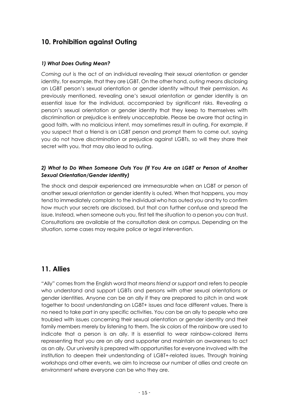# **10. Prohibition against Outing**

### *1) What Does Outing Mean?*

*Coming out* is the act of an individual revealing their sexual orientation or gender identity, for example, that they are LGBT. On the other hand, *outing* means disclosing an LGBT person's sexual orientation or gender identity without their permission. As previously mentioned, revealing one's sexual orientation or gender identity is an essential issue for the individual, accompanied by significant risks. Revealing a person's sexual orientation or gender identity that they keep to themselves with discrimination or prejudice is entirely unacceptable. Please be aware that acting in good faith, with no malicious intent, may sometimes result in outing. For example, if you suspect that a friend is an LGBT person and prompt them to come out, saying you do not have discrimination or prejudice against LGBTs, so will they share their secret with you, that may also lead to outing.

## *2) What to Do When Someone Outs You (If You Are an LGBT or Person of Another Sexual Orientation/Gender Identity)*

The shock and despair experienced are immeasurable when an LGBT or person of another sexual orientation or gender identity is outed. When that happens, you may tend to immediately complain to the individual who has outed you and try to confirm how much your secrets are disclosed, but that can further confuse and spread the issue. Instead, when someone outs you, first tell the situation to a person you can trust. Consultations are available at the consultation desk on campus. Depending on the situation, some cases may require police or legal intervention.

# **11. Allies**

"Ally" comes from the English word that means *friend* or *support* and refers to people who understand and support LGBTs and persons with other sexual orientations or gender identities. Anyone can be an ally if they are prepared to pitch in and work together to boost understanding on LGBT+ issues and face different values. There is no need to take part in any specific activities. You can be an ally to people who are troubled with issues concerning their sexual orientation or gender identity and their family members merely by listening to them. The six colors of the rainbow are used to indicate that a person is an ally. It is essential to wear rainbow-colored items representing that you are an ally and supporter and maintain an awareness to act as an ally. Our university is prepared with opportunities for everyone involved with the institution to deepen their understanding of LGBT+-related issues. Through training workshops and other events, we aim to increase our number of allies and create an environment where everyone can be who they are.